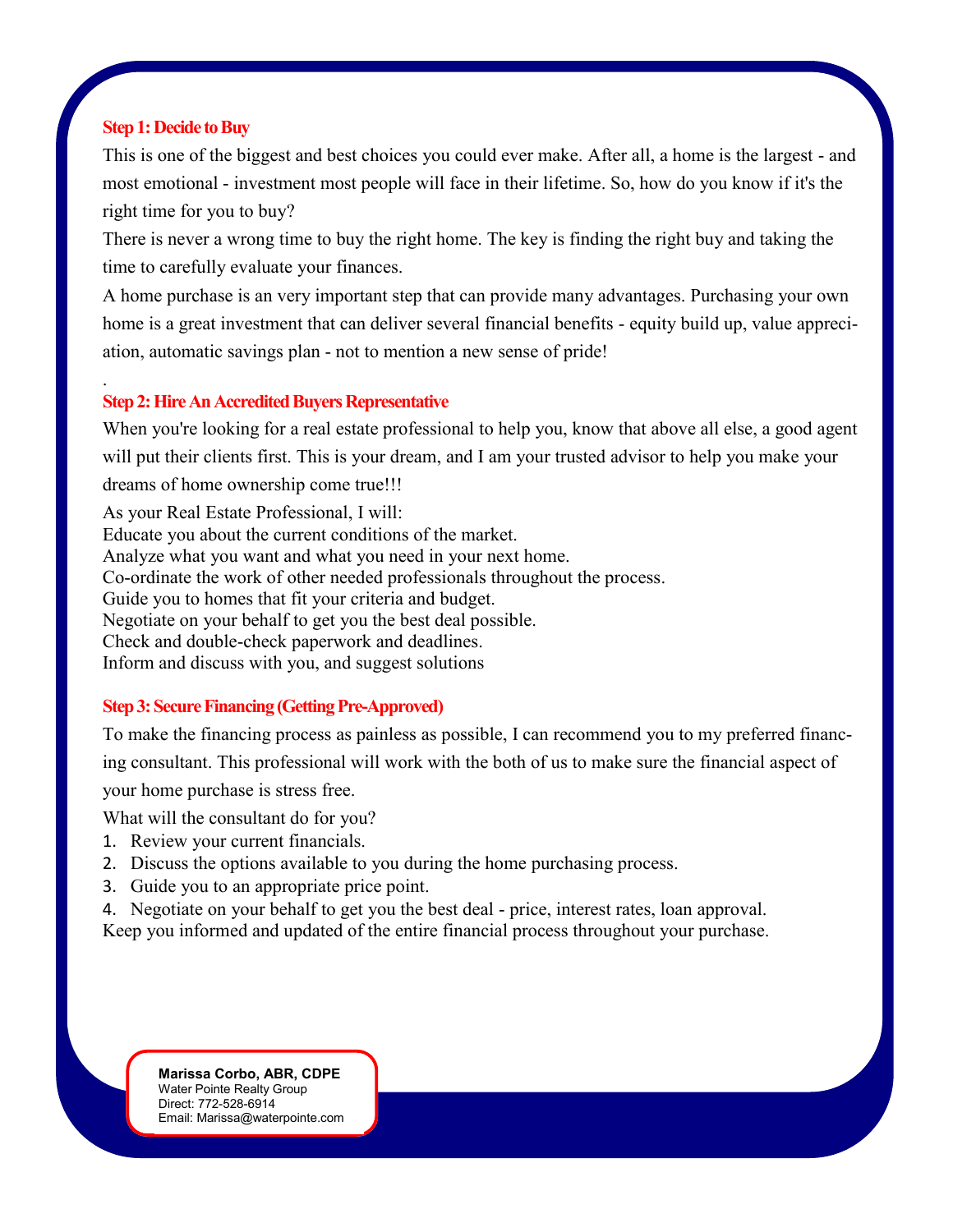# **Step 1: Decide to Buy**

.

This is one of the biggest and best choices you could ever make. After all, a home is the largest - and most emotional - investment most people will face in their lifetime. So, how do you know if it's the right time for you to buy?

There is never a wrong time to buy the right home. The key is finding the right buy and taking the time to carefully evaluate your finances.

A home purchase is an very important step that can provide many advantages. Purchasing your own home is a great investment that can deliver several financial benefits - equity build up, value appreciation, automatic savings plan - not to mention a new sense of pride!

# **Step 2: Hire An Accredited Buyers Representative**

When you're looking for a real estate professional to help you, know that above all else, a good agent will put their clients first. This is your dream, and I am your trusted advisor to help you make your dreams of home ownership come true!!!

As your Real Estate Professional, I will: Educate you about the current conditions of the market. Analyze what you want and what you need in your next home. Co-ordinate the work of other needed professionals throughout the process. Guide you to homes that fit your criteria and budget. Negotiate on your behalf to get you the best deal possible. Check and double-check paperwork and deadlines. Inform and discuss with you, and suggest solutions

# **Step 3: Secure Financing (Getting Pre-Approved)**

To make the financing process as painless as possible, I can recommend you to my preferred financing consultant. This professional will work with the both of us to make sure the financial aspect of your home purchase is stress free.

What will the consultant do for you?

- 1. Review your current financials.
- 2. Discuss the options available to you during the home purchasing process.
- 3. Guide you to an appropriate price point.
- 4. Negotiate on your behalf to get you the best deal price, interest rates, loan approval.
- Keep you informed and updated of the entire financial process throughout your purchase.

**Marissa Corbo, ABR, CDPE** Water Pointe Realty Group Direct: 772-528-6914 Email: Marissa@waterpointe.com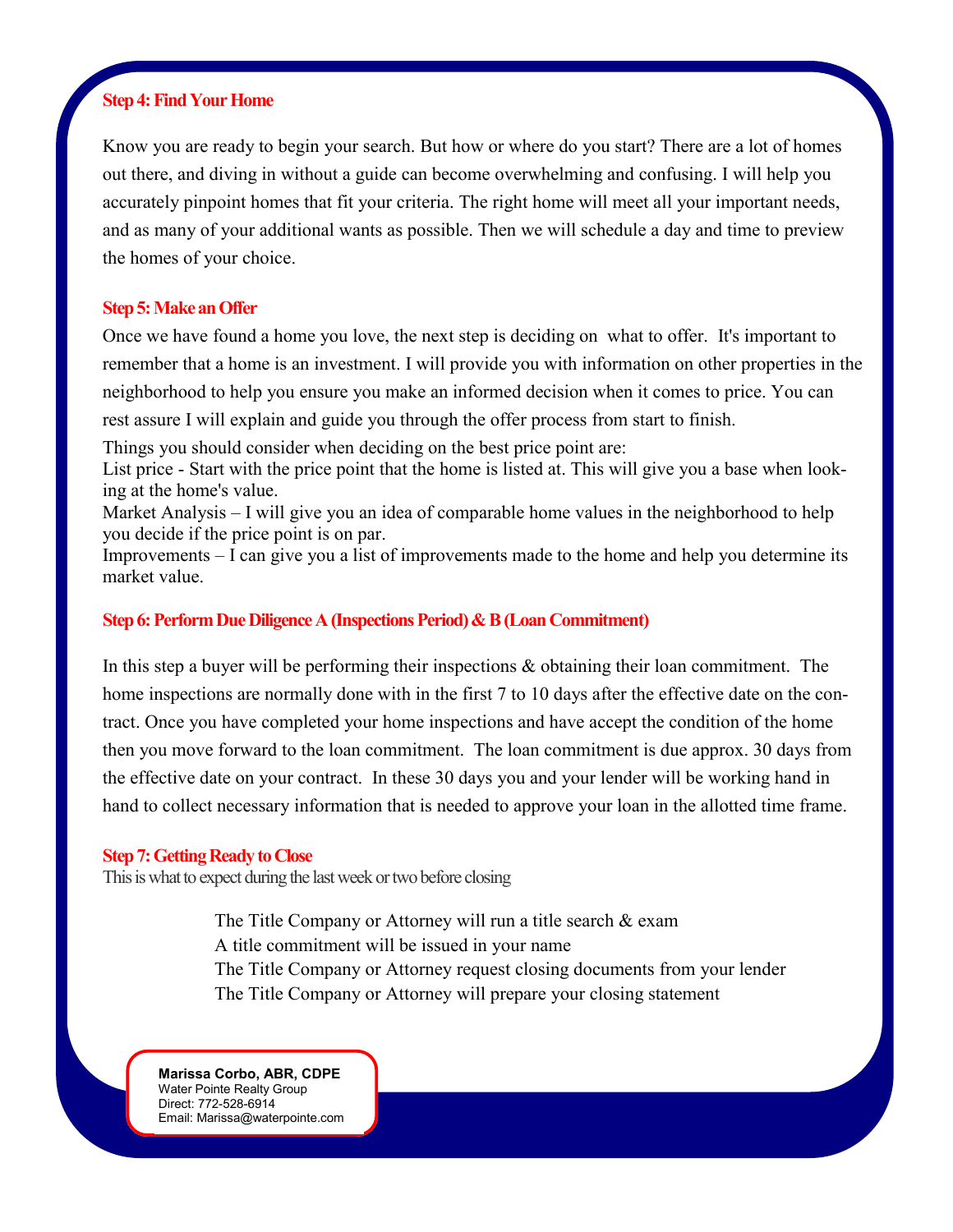### **Step 4: Find Your Home**

Know you are ready to begin your search. But how or where do you start? There are a lot of homes out there, and diving in without a guide can become overwhelming and confusing. I will help you accurately pinpoint homes that fit your criteria. The right home will meet all your important needs, and as many of your additional wants as possible. Then we will schedule a day and time to preview the homes of your choice.

## **Step 5: Make an Offer**

Once we have found a home you love, the next step is deciding on what to offer. It's important to remember that a home is an investment. I will provide you with information on other properties in the neighborhood to help you ensure you make an informed decision when it comes to price. You can rest assure I will explain and guide you through the offer process from start to finish.

Things you should consider when deciding on the best price point are:

List price - Start with the price point that the home is listed at. This will give you a base when looking at the home's value.

Market Analysis – I will give you an idea of comparable home values in the neighborhood to help you decide if the price point is on par.

Improvements – I can give you a list of improvements made to the home and help you determine its market value.

## **Step 6: Perform Due Diligence A (Inspections Period) & B (Loan Commitment)**

In this step a buyer will be performing their inspections  $\&$  obtaining their loan commitment. The home inspections are normally done with in the first 7 to 10 days after the effective date on the contract. Once you have completed your home inspections and have accept the condition of the home then you move forward to the loan commitment. The loan commitment is due approx. 30 days from the effective date on your contract. In these 30 days you and your lender will be working hand in hand to collect necessary information that is needed to approve your loan in the allotted time frame.

### **Step 7: Getting Ready to Close**

This is what to expect during the last week or two before closing

The Title Company or Attorney will run a title search & exam A title commitment will be issued in your name The Title Company or Attorney request closing documents from your lender The Title Company or Attorney will prepare your closing statement

**Marissa Corbo, ABR, CDPE** Water Pointe Realty Group Direct: 772-528-6914 Email: Marissa@waterpointe.com